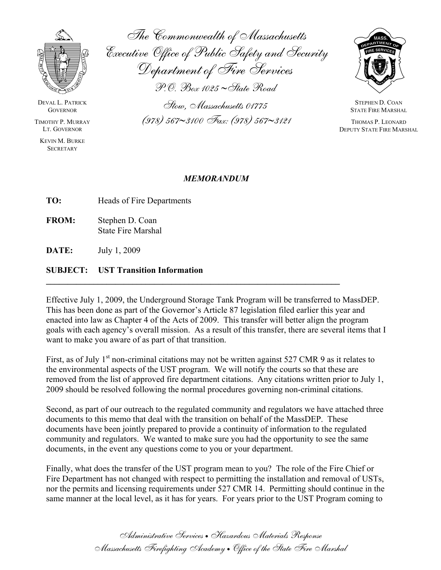

KEVIN M. BURKE **SECRETARY** 

The Commonwealth of Massachusetts Executive Office of Public Safety and Security Department of Fire Services

P.O. Box 1025~State Road

DEVAL L. PATRICK Stow, M STEPHEN D. COAN assachusetts 01775 GOVERNOR STATE FIRE MARSHAL TIMOTHY P. MURRAY (978) 567∼3100 Fax: (978) 567∼3121 THOMAS P. LEONARD<br>Lt. Governor Deputy State Fire Mars



DEPUTY STATE FIRE MARSHAL

## *MEMORANDUM*

**TO:** Heads of Fire Departments

**FROM:** Stephen D. Coan State Fire Marshal

**DATE:** July 1, 2009

## **SUBJECT: UST Transition Information**

Effective July 1, 2009, the Underground Storage Tank Program will be transferred to MassDEP. This has been done as part of the Governor's Article 87 legislation filed earlier this year and enacted into law as Chapter 4 of the Acts of 2009. This transfer will better align the program goals with each agency's overall mission. As a result of this transfer, there are several items that I want to make you aware of as part of that transition.

**\_\_\_\_\_\_\_\_\_\_\_\_\_\_\_\_\_\_\_\_\_\_\_\_\_\_\_\_\_\_\_\_\_\_\_\_\_\_\_\_\_\_\_\_\_\_\_\_\_\_\_\_\_\_\_\_\_\_\_\_\_\_\_\_\_\_\_\_** 

First, as of July  $1<sup>st</sup>$  non-criminal citations may not be written against 527 CMR 9 as it relates to the environmental aspects of the UST program. We will notify the courts so that these are removed from the list of approved fire department citations. Any citations written prior to July 1, 2009 should be resolved following the normal procedures governing non-criminal citations.

Second, as part of our outreach to the regulated community and regulators we have attached three documents to this memo that deal with the transition on behalf of the MassDEP. These documents have been jointly prepared to provide a continuity of information to the regulated community and regulators. We wanted to make sure you had the opportunity to see the same documents, in the event any questions come to you or your department.

Finally, what does the transfer of the UST program mean to you? The role of the Fire Chief or Fire Department has not changed with respect to permitting the installation and removal of USTs, nor the permits and licensing requirements under 527 CMR 14. Permitting should continue in the same manner at the local level, as it has for years. For years prior to the UST Program coming to

> Administrative Services • Hazardous Materials Response Massachusetts Firefighting Academy • Office of the State Fire Marshal